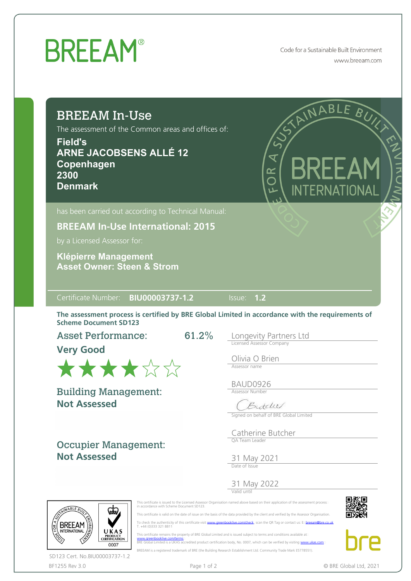## **BREEAM®**

Code for a Sustainable Built Environment www.breeam.com

## BREEAM In-Use

The assessment of the Common areas and offices of:

**Field's ARNE JACOBSENS ALLÉ 12 Copenhagen 2300 Denmark**



**BREEAM In-Use International: 2015**

by a Licensed Assessor for:

**Asset Owner: Steen & Strom Klépierre Management**

## Certificate Number: **BIU00003737-1.2** Issue: **1.2**

The assessment process is certified by BRE Global Limited in accordance with the requirements of Scheme Document SD123

61.2%

Asset Performance:

**Very Good**



**Not Assessed** Building Management:

Occupier Management: **Not Assessed**

Longevity Partners Ltd Licensed Assessor Company

Olivia O Brien Assessor name

BAUD0926 Assessor Number

Butchel

Signed on behalf of BRE Global Limited

Catherine Butcher QA Team Leader

31 May 2021 Date of Issue

31 May 2022



Valid until



BREEAM is a registered trademark of BRE (the Building Research Establishment Ltd. Community Trade Mark E5778551).



 This certificate remains the property of BRE Global Limited and is issued subject to terms and conditions available at [www.greenbooklive.com/terms](http://www.greenbooklive.com/terms)¤<br>BRE Global Limited is a UKAS accredited product certification body, No. 0007, which can be verified by visiting [www.ukas.com](http://www.ukas.com/)



BF1255 Rev 3.0 **Page 1 of 2** Page 1 of 2 © BRE Global Ltd, 2021 SD123 Cert. No.BIU00003737-1.2